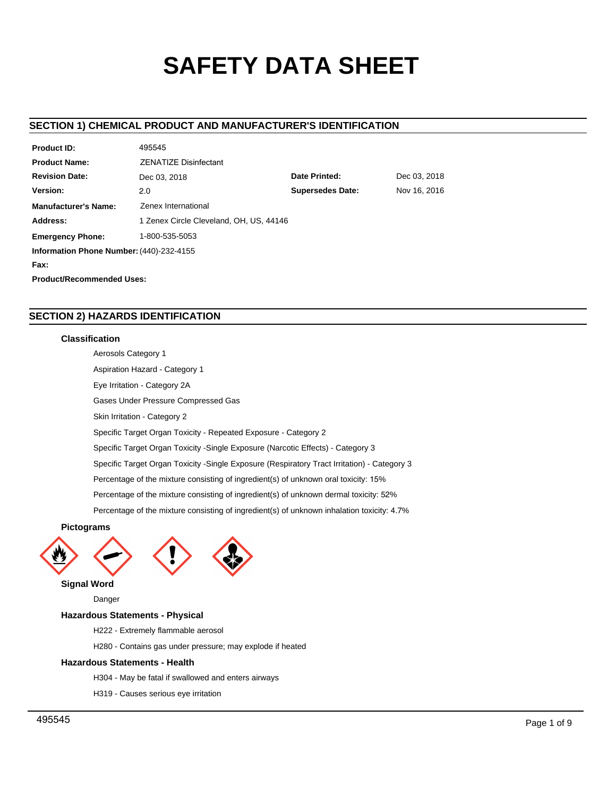# **SAFETY DATA SHEET**

# **SECTION 1) CHEMICAL PRODUCT AND MANUFACTURER'S IDENTIFICATION**

| Product ID:                               | 495545                                  |                         |              |  |  |  |
|-------------------------------------------|-----------------------------------------|-------------------------|--------------|--|--|--|
| <b>Product Name:</b>                      | <b>ZENATIZE Disinfectant</b>            |                         |              |  |  |  |
| <b>Revision Date:</b>                     | Dec 03, 2018                            | Date Printed:           | Dec 03, 2018 |  |  |  |
| Version:                                  | 2.0                                     | <b>Supersedes Date:</b> | Nov 16, 2016 |  |  |  |
| <b>Manufacturer's Name:</b>               | Zenex International                     |                         |              |  |  |  |
| Address:                                  | 1 Zenex Circle Cleveland, OH, US, 44146 |                         |              |  |  |  |
| 1-800-535-5053<br><b>Emergency Phone:</b> |                                         |                         |              |  |  |  |
| Information Phone Number: (440)-232-4155  |                                         |                         |              |  |  |  |
| Fax:                                      |                                         |                         |              |  |  |  |
| <b>Product/Recommended Uses:</b>          |                                         |                         |              |  |  |  |

# **SECTION 2) HAZARDS IDENTIFICATION**

# **Classification**

Aerosols Category 1 Aspiration Hazard - Category 1 Eye Irritation - Category 2A Gases Under Pressure Compressed Gas Skin Irritation - Category 2 Specific Target Organ Toxicity - Repeated Exposure - Category 2 Specific Target Organ Toxicity -Single Exposure (Narcotic Effects) - Category 3 Specific Target Organ Toxicity -Single Exposure (Respiratory Tract Irritation) - Category 3 Percentage of the mixture consisting of ingredient(s) of unknown oral toxicity: 15% Percentage of the mixture consisting of ingredient(s) of unknown dermal toxicity: 52% Percentage of the mixture consisting of ingredient(s) of unknown inhalation toxicity: 4.7%

**Pictograms**



**Signal Word**

Danger

# **Hazardous Statements - Physical**

- H222 Extremely flammable aerosol
- H280 Contains gas under pressure; may explode if heated

# **Hazardous Statements - Health**

- H304 May be fatal if swallowed and enters airways
- H319 Causes serious eye irritation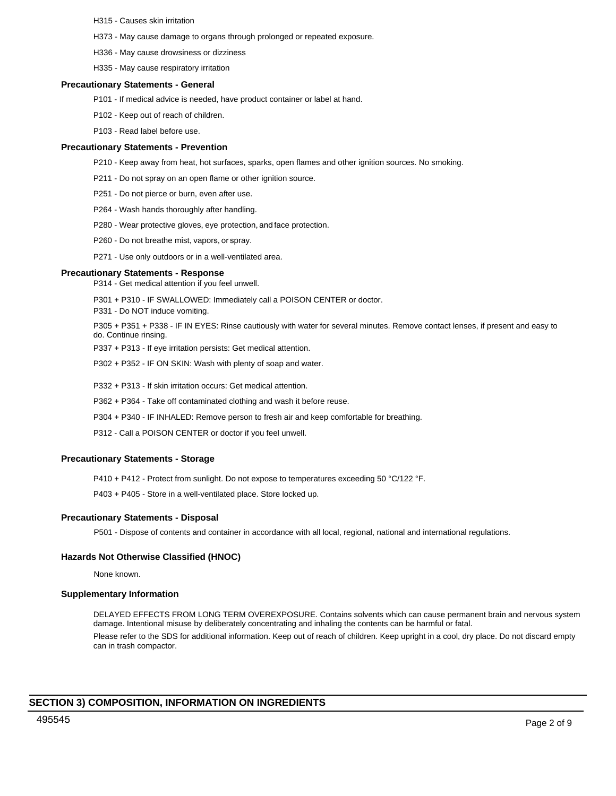- H315 Causes skin irritation
- H373 May cause damage to organs through prolonged or repeated exposure.
- H336 May cause drowsiness or dizziness
- H335 May cause respiratory irritation

#### **Precautionary Statements - General**

- P101 If medical advice is needed, have product container or label at hand.
- P102 Keep out of reach of children.
- P103 Read label before use.

#### **Precautionary Statements - Prevention**

- P210 Keep away from heat, hot surfaces, sparks, open flames and other ignition sources. No smoking.
- P211 Do not spray on an open flame or other ignition source.
- P251 Do not pierce or burn, even after use.
- P264 Wash hands thoroughly after handling.
- P280 Wear protective gloves, eye protection, and face protection.
- P260 Do not breathe mist, vapors, or spray.
- P271 Use only outdoors or in a well-ventilated area.

#### **Precautionary Statements - Response**

P314 - Get medical attention if you feel unwell.

- P301 + P310 IF SWALLOWED: Immediately call a POISON CENTER or doctor.
- P331 Do NOT induce vomiting.

P305 + P351 + P338 - IF IN EYES: Rinse cautiously with water for several minutes. Remove contact lenses, if present and easy to do. Continue rinsing.

P337 + P313 - If eye irritation persists: Get medical attention.

P302 + P352 - IF ON SKIN: Wash with plenty of soap and water.

P332 + P313 - If skin irritation occurs: Get medical attention.

P362 + P364 - Take off contaminated clothing and wash it before reuse.

P304 + P340 - IF INHALED: Remove person to fresh air and keep comfortable for breathing.

P312 - Call a POISON CENTER or doctor if you feel unwell.

# **Precautionary Statements - Storage**

P410 + P412 - Protect from sunlight. Do not expose to temperatures exceeding 50 °C/122 °F.

P403 + P405 - Store in a well-ventilated place. Store locked up.

# **Precautionary Statements - Disposal**

P501 - Dispose of contents and container in accordance with all local, regional, national and international regulations.

# **Hazards Not Otherwise Classified (HNOC)**

None known.

# **Supplementary Information**

DELAYED EFFECTS FROM LONG TERM OVEREXPOSURE. Contains solvents which can cause permanent brain and nervous system damage. Intentional misuse by deliberately concentrating and inhaling the contents can be harmful or fatal. Please refer to the SDS for additional information. Keep out of reach of children. Keep upright in a cool, dry place. Do not discard empty can in trash compactor.

# **SECTION 3) COMPOSITION, INFORMATION ON INGREDIENTS**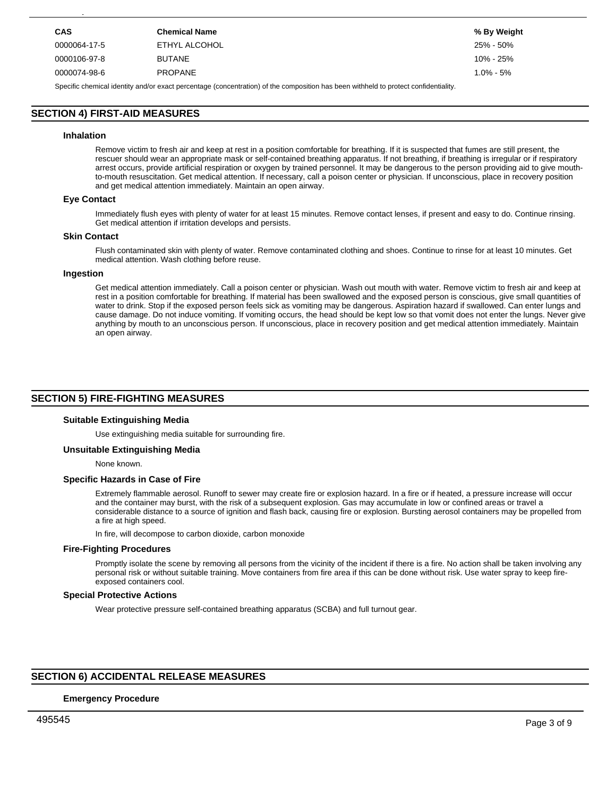| <b>CAS</b>                                                                                                                          | <b>Chemical Name</b> | % By Weight |  |  |
|-------------------------------------------------------------------------------------------------------------------------------------|----------------------|-------------|--|--|
| 0000064-17-5                                                                                                                        | ETHYL ALCOHOL        | 25% - 50%   |  |  |
| 0000106-97-8                                                                                                                        | <b>BUTANE</b>        | 10% - 25%   |  |  |
| <b>PROPANE</b><br>$1.0\% - 5\%$<br>0000074-98-6                                                                                     |                      |             |  |  |
| Specific chemical identity and/or exact percentage (concentration) of the composition has been withheld to protect confidentiality. |                      |             |  |  |

# **SECTION 4) FIRST-AID MEASURES**

**SECTION 3) COMPOSITION, INFORMATION ON INGREDIENTS**

#### **Inhalation**

Remove victim to fresh air and keep at rest in a position comfortable for breathing. If it is suspected that fumes are still present, the rescuer should wear an appropriate mask or self-contained breathing apparatus. If not breathing, if breathing is irregular or if respiratory arrest occurs, provide artificial respiration or oxygen by trained personnel. It may be dangerous to the person providing aid to give mouthto-mouth resuscitation. Get medical attention. If necessary, call a poison center or physician. If unconscious, place in recovery position and get medical attention immediately. Maintain an open airway.

# **Eye Contact**

Immediately flush eyes with plenty of water for at least 15 minutes. Remove contact lenses, if present and easy to do. Continue rinsing. Get medical attention if irritation develops and persists.

## **Skin Contact**

Flush contaminated skin with plenty of water. Remove contaminated clothing and shoes. Continue to rinse for at least 10 minutes. Get medical attention. Wash clothing before reuse.

#### **Ingestion**

Get medical attention immediately. Call a poison center or physician. Wash out mouth with water. Remove victim to fresh air and keep at rest in a position comfortable for breathing. If material has been swallowed and the exposed person is conscious, give small quantities of water to drink. Stop if the exposed person feels sick as vomiting may be dangerous. Aspiration hazard if swallowed. Can enter lungs and cause damage. Do not induce vomiting. If vomiting occurs, the head should be kept low so that vomit does not enter the lungs. Never give anything by mouth to an unconscious person. If unconscious, place in recovery position and get medical attention immediately. Maintain an open airway.

# **SECTION 5) FIRE-FIGHTING MEASURES**

#### **Suitable Extinguishing Media**

Use extinguishing media suitable for surrounding fire.

#### **Unsuitable Extinguishing Media**

None known.

## **Specific Hazards in Case of Fire**

Extremely flammable aerosol. Runoff to sewer may create fire or explosion hazard. In a fire or if heated, a pressure increase will occur and the container may burst, with the risk of a subsequent explosion. Gas may accumulate in low or confined areas or travel a considerable distance to a source of ignition and flash back, causing fire or explosion. Bursting aerosol containers may be propelled from a fire at high speed.

In fire, will decompose to carbon dioxide, carbon monoxide

#### **Fire-Fighting Procedures**

Promptly isolate the scene by removing all persons from the vicinity of the incident if there is a fire. No action shall be taken involving any personal risk or without suitable training. Move containers from fire area if this can be done without risk. Use water spray to keep fireexposed containers cool.

## **Special Protective Actions**

Wear protective pressure self-contained breathing apparatus (SCBA) and full turnout gear.

# **SECTION 6) ACCIDENTAL RELEASE MEASURES**

## **Emergency Procedure**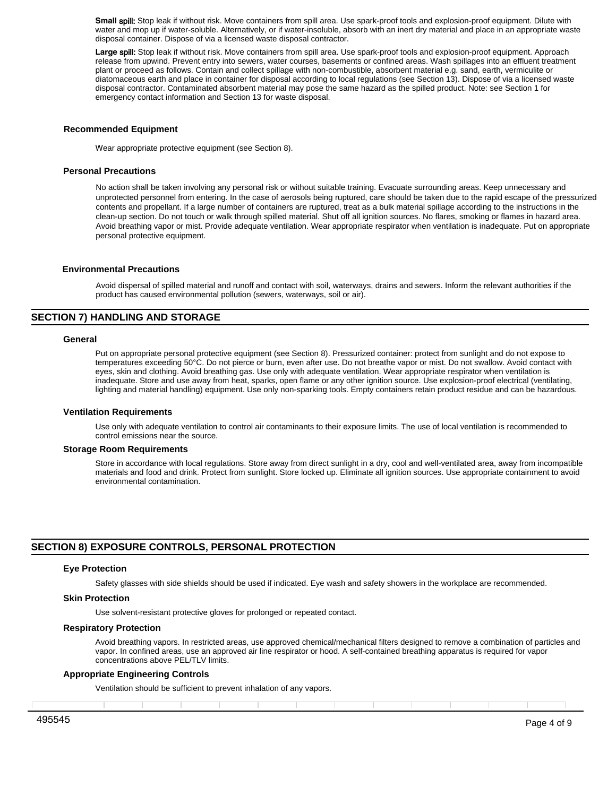**Small** spill: Stop leak if without risk. Move containers from spill area. Use spark-proof tools and explosion-proof equipment. Dilute with water and mop up if water-soluble. Alternatively, or if water-insoluble, absorb with an inert dry material and place in an appropriate waste disposal container. Dispose of via a licensed waste disposal contractor.

**Large** spill: Stop leak if without risk. Move containers from spill area. Use spark-proof tools and explosion-proof equipment. Approach release from upwind. Prevent entry into sewers, water courses, basements or confined areas. Wash spillages into an effluent treatment plant or proceed as follows. Contain and collect spillage with non-combustible, absorbent material e.g. sand, earth, vermiculite or diatomaceous earth and place in container for disposal according to local regulations (see Section 13). Dispose of via a licensed waste disposal contractor. Contaminated absorbent material may pose the same hazard as the spilled product. Note: see Section 1 for emergency contact information and Section 13 for waste disposal.

#### **Recommended Equipment**

Wear appropriate protective equipment (see Section 8).

## **Personal Precautions**

No action shall be taken involving any personal risk or without suitable training. Evacuate surrounding areas. Keep unnecessary and unprotected personnel from entering. In the case of aerosols being ruptured, care should be taken due to the rapid escape of the pressurized contents and propellant. If a large number of containers are ruptured, treat as a bulk material spillage according to the instructions in the clean-up section. Do not touch or walk through spilled material. Shut off all ignition sources. No flares, smoking or flames in hazard area. Avoid breathing vapor or mist. Provide adequate ventilation. Wear appropriate respirator when ventilation is inadequate. Put on appropriate personal protective equipment.

#### **Environmental Precautions**

Avoid dispersal of spilled material and runoff and contact with soil, waterways, drains and sewers. Inform the relevant authorities if the product has caused environmental pollution (sewers, waterways, soil or air).

# **SECTION 7) HANDLING AND STORAGE**

#### **General**

Put on appropriate personal protective equipment (see Section 8). Pressurized container: protect from sunlight and do not expose to temperatures exceeding 50°C. Do not pierce or burn, even after use. Do not breathe vapor or mist. Do not swallow. Avoid contact with eyes, skin and clothing. Avoid breathing gas. Use only with adequate ventilation. Wear appropriate respirator when ventilation is inadequate. Store and use away from heat, sparks, open flame or any other ignition source. Use explosion-proof electrical (ventilating, lighting and material handling) equipment. Use only non-sparking tools. Empty containers retain product residue and can be hazardous.

#### **Ventilation Requirements**

Use only with adequate ventilation to control air contaminants to their exposure limits. The use of local ventilation is recommended to control emissions near the source.

#### **Storage Room Requirements**

Store in accordance with local regulations. Store away from direct sunlight in a dry, cool and well-ventilated area, away from incompatible materials and food and drink. Protect from sunlight. Store locked up. Eliminate all ignition sources. Use appropriate containment to avoid environmental contamination.

# **SECTION 8) EXPOSURE CONTROLS, PERSONAL PROTECTION**

#### **Eye Protection**

Safety glasses with side shields should be used if indicated. Eye wash and safety showers in the workplace are recommended.

#### **Skin Protection**

Use solvent-resistant protective gloves for prolonged or repeated contact.

#### **Respiratory Protection**

Avoid breathing vapors. In restricted areas, use approved chemical/mechanical filters designed to remove a combination of particles and vapor. In confined areas, use an approved air line respirator or hood. A self-contained breathing apparatus is required for vapor concentrations above PEL/TLV limits.

#### **Appropriate Engineering Controls**

Ventilation should be sufficient to prevent inhalation of any vapors.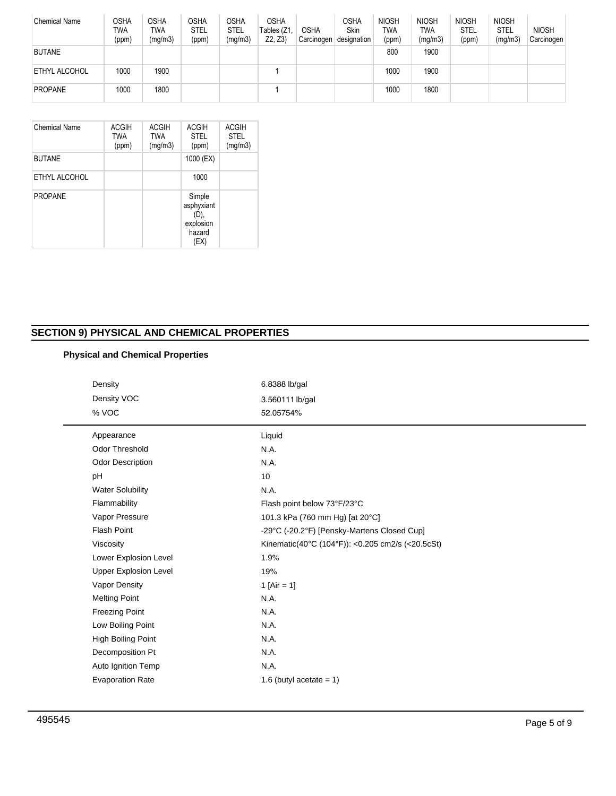| <b>Chemical Name</b> | OSHA<br>TWA<br>(ppm) | OSHA<br><b>TWA</b><br>(mg/m3) | <b>OSHA</b><br><b>STEL</b><br>(ppm) | OSHA<br>STEL<br>(mg/m3) | <b>OSHA</b><br>Tables (Z1<br>Z2, Z3 | <b>OSHA</b><br>Carcinogen | OSHA<br>Skin<br>designation | <b>NIOSH</b><br>TWA<br>(ppm) | <b>NIOSH</b><br><b>TWA</b><br>(mg/m3) | <b>NIOSH</b><br><b>STEL</b><br>(ppm) | <b>NIOSH</b><br><b>STEL</b><br>(mg/m3) | <b>NIOSH</b><br>Carcinogen |
|----------------------|----------------------|-------------------------------|-------------------------------------|-------------------------|-------------------------------------|---------------------------|-----------------------------|------------------------------|---------------------------------------|--------------------------------------|----------------------------------------|----------------------------|
| <b>BUTANE</b>        |                      |                               |                                     |                         |                                     |                           |                             | 800                          | 1900                                  |                                      |                                        |                            |
| <b>ETHYL ALCOHOL</b> | 1000                 | 1900                          |                                     |                         |                                     |                           |                             | 1000                         | 1900                                  |                                      |                                        |                            |
| <b>PROPANE</b>       | 1000                 | 1800                          |                                     |                         |                                     |                           |                             | 1000                         | 1800                                  |                                      |                                        |                            |

| <b>Chemical Name</b> | <b>ACGIH</b><br><b>TWA</b><br>(ppm) | <b>ACGIH</b><br><b>TWA</b><br>(mg/m3) | <b>ACGIH</b><br><b>STEL</b><br>(ppm)                        | <b>ACGIH</b><br><b>STEL</b><br>(mg/m3) |
|----------------------|-------------------------------------|---------------------------------------|-------------------------------------------------------------|----------------------------------------|
| <b>BUTANE</b>        |                                     |                                       | 1000 (EX)                                                   |                                        |
| ETHYL ALCOHOL        |                                     |                                       | 1000                                                        |                                        |
| <b>PROPANE</b>       |                                     |                                       | Simple<br>asphyxiant<br>(D),<br>explosion<br>hazard<br>(EX) |                                        |

# **SECTION 9) PHYSICAL AND CHEMICAL PROPERTIES**

# **Physical and Chemical Properties**

| Density                      | 6.8388 lb/gal                                    |
|------------------------------|--------------------------------------------------|
| Density VOC                  | 3.560111 lb/gal                                  |
| % VOC                        | 52.05754%                                        |
| Appearance                   | Liquid                                           |
| <b>Odor Threshold</b>        | N.A.                                             |
| <b>Odor Description</b>      | N.A.                                             |
| pH                           | 10                                               |
| <b>Water Solubility</b>      | N.A.                                             |
| Flammability                 | Flash point below 73°F/23°C                      |
| Vapor Pressure               | 101.3 kPa (760 mm Hg) [at 20°C]                  |
| <b>Flash Point</b>           | -29°C (-20.2°F) [Pensky-Martens Closed Cup]      |
| Viscosity                    | Kinematic(40°C (104°F)): <0.205 cm2/s (<20.5cSt) |
| Lower Explosion Level        | 1.9%                                             |
| <b>Upper Explosion Level</b> | 19%                                              |
| Vapor Density                | 1 [Air = 1]                                      |
| <b>Melting Point</b>         | N.A.                                             |
| <b>Freezing Point</b>        | N.A.                                             |
| Low Boiling Point            | N.A.                                             |
| High Boiling Point           | N.A.                                             |
| Decomposition Pt             | N.A.                                             |
| Auto Ignition Temp           | N.A.                                             |
| <b>Evaporation Rate</b>      | 1.6 (butyl acetate $= 1$ )                       |
|                              |                                                  |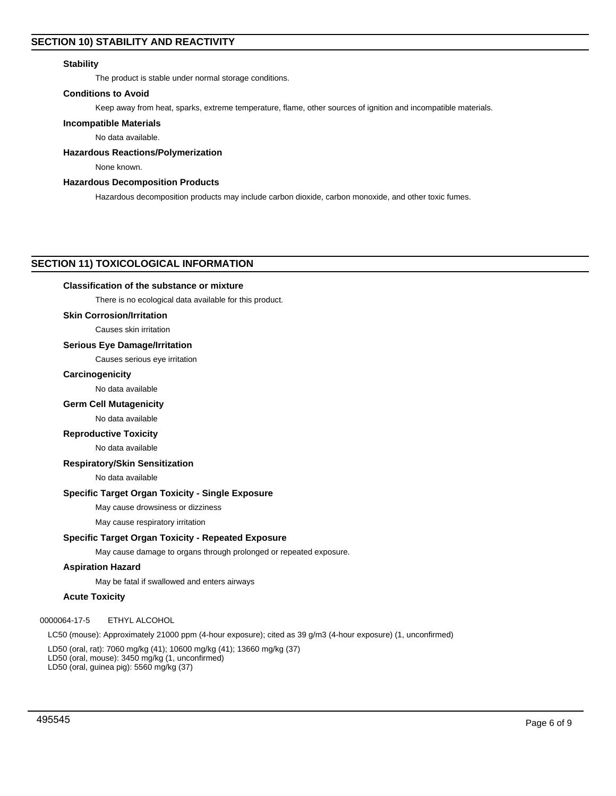# **Stability**

The product is stable under normal storage conditions.

# **Conditions to Avoid**

Keep away from heat, sparks, extreme temperature, flame, other sources of ignition and incompatible materials.

## **Incompatible Materials**

No data available.

## **Hazardous Reactions/Polymerization**

None known.

# **Hazardous Decomposition Products**

Hazardous decomposition products may include carbon dioxide, carbon monoxide, and other toxic fumes.

# **SECTION 11) TOXICOLOGICAL INFORMATION**

## **Classification of the substance or mixture**

There is no ecological data available for this product.

# **Skin Corrosion/Irritation**

Causes skin irritation

## **Serious Eye Damage/Irritation**

Causes serious eye irritation

# **Carcinogenicity**

No data available

# **Germ Cell Mutagenicity**

No data available

#### **Reproductive Toxicity**

No data available

# **Respiratory/Skin Sensitization**

No data available

# **Specific Target Organ Toxicity - Single Exposure**

May cause drowsiness or dizziness

May cause respiratory irritation

# **Specific Target Organ Toxicity - Repeated Exposure**

May cause damage to organs through prolonged or repeated exposure.

# **Aspiration Hazard**

May be fatal if swallowed and enters airways

# **Acute Toxicity**

0000064-17-5 ETHYL ALCOHOL

LC50 (mouse): Approximately 21000 ppm (4-hour exposure); cited as 39 g/m3 (4-hour exposure) (1, unconfirmed)

LD50 (oral, rat): 7060 mg/kg (41); 10600 mg/kg (41); 13660 mg/kg (37) LD50 (oral, mouse): 3450 mg/kg (1, unconfirmed) LD50 (oral, guinea pig): 5560 mg/kg (37)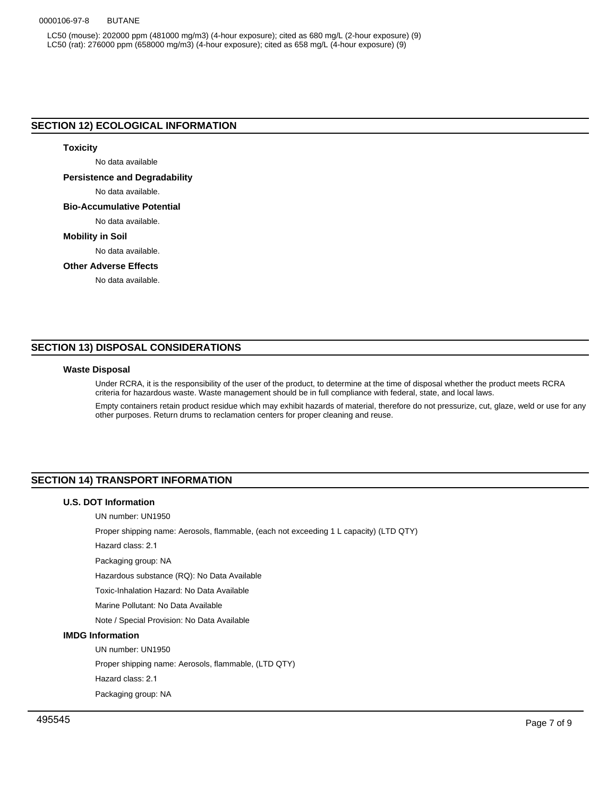## 0000106-97-8 BUTANE

LC50 (mouse): 202000 ppm (481000 mg/m3) (4-hour exposure); cited as 680 mg/L (2-hour exposure) (9) LC50 (rat): 276000 ppm (658000 mg/m3) (4-hour exposure); cited as 658 mg/L (4-hour exposure) (9)

# **SECTION 12) ECOLOGICAL INFORMATION**

# **Toxicity**

No data available

# **Persistence and Degradability**

No data available.

## **Bio-Accumulative Potential**

No data available.

## **Mobility in Soil**

No data available.

# **Other Adverse Effects**

No data available.

# **SECTION 13) DISPOSAL CONSIDERATIONS**

## **Waste Disposal**

Under RCRA, it is the responsibility of the user of the product, to determine at the time of disposal whether the product meets RCRA criteria for hazardous waste. Waste management should be in full compliance with federal, state, and local laws.

Empty containers retain product residue which may exhibit hazards of material, therefore do not pressurize, cut, glaze, weld or use for any other purposes. Return drums to reclamation centers for proper cleaning and reuse.

# **SECTION 14) TRANSPORT INFORMATION**

# **U.S. DOT Information**

UN number: UN1950

Proper shipping name: Aerosols, flammable, (each not exceeding 1 L capacity) (LTD QTY)

Hazard class: 2.1

Packaging group: NA

Hazardous substance (RQ): No Data Available

Toxic-Inhalation Hazard: No Data Available

Marine Pollutant: No Data Available

Note / Special Provision: No Data Available

# **IMDG Information**

UN number: UN1950

Proper shipping name: Aerosols, flammable, (LTD QTY)

Hazard class: 2.1

Packaging group: NA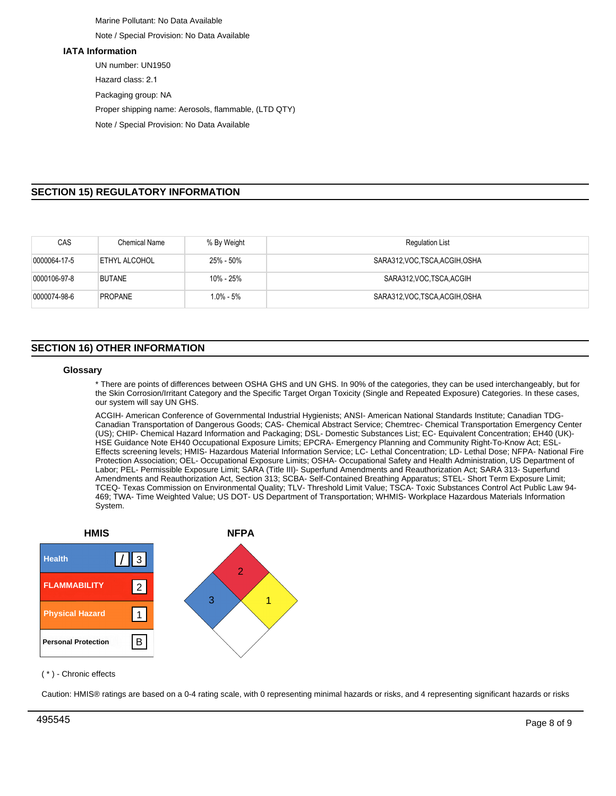Marine Pollutant: No Data Available Note / Special Provision: No Data Available

## **IATA Information**

UN number: UN1950 Hazard class: 2.1 Packaging group: NA Proper shipping name: Aerosols, flammable, (LTD QTY) Note / Special Provision: No Data Available

# **SECTION 15) REGULATORY INFORMATION**

| CAS          | <b>Chemical Name</b> | % By Weight   | <b>Regulation List</b>          |
|--------------|----------------------|---------------|---------------------------------|
| 0000064-17-5 | ETHYL ALCOHOL        | 25% - 50%     | SARA312, VOC, TSCA, ACGIH, OSHA |
| 0000106-97-8 | <b>BUTANE</b>        | 10% - 25%     | SARA312, VOC. TSCA, ACGIH       |
| 0000074-98-6 | <b>PROPANE</b>       | $1.0\% - 5\%$ | SARA312, VOC, TSCA, ACGIH, OSHA |

# **SECTION 16) OTHER INFORMATION**

## **Glossary**

\* There are points of differences between OSHA GHS and UN GHS. In 90% of the categories, they can be used interchangeably, but for the Skin Corrosion/Irritant Category and the Specific Target Organ Toxicity (Single and Repeated Exposure) Categories. In these cases, our system will say UN GHS.

ACGIH- American Conference of Governmental Industrial Hygienists; ANSI- American National Standards Institute; Canadian TDG-Canadian Transportation of Dangerous Goods; CAS- Chemical Abstract Service; Chemtrec- Chemical Transportation Emergency Center (US); CHIP- Chemical Hazard Information and Packaging; DSL- Domestic Substances List; EC- Equivalent Concentration; EH40 (UK)- HSE Guidance Note EH40 Occupational Exposure Limits; EPCRA- Emergency Planning and Community Right-To-Know Act; ESL-Effects screening levels; HMIS- Hazardous Material Information Service; LC- Lethal Concentration; LD- Lethal Dose; NFPA- National Fire Protection Association; OEL- Occupational Exposure Limits; OSHA- Occupational Safety and Health Administration, US Department of Labor; PEL- Permissible Exposure Limit; SARA (Title III)- Superfund Amendments and Reauthorization Act; SARA 313- Superfund Amendments and Reauthorization Act, Section 313; SCBA- Self-Contained Breathing Apparatus; STEL- Short Term Exposure Limit; TCEQ- Texas Commission on Environmental Quality; TLV- Threshold Limit Value; TSCA- Toxic Substances Control Act Public Law 94- 469; TWA- Time Weighted Value; US DOT- US Department of Transportation; WHMIS- Workplace Hazardous Materials Information System.



( \* ) - Chronic effects

Caution: HMIS® ratings are based on a 0-4 rating scale, with 0 representing minimal hazards or risks, and 4 representing significant hazards or risks